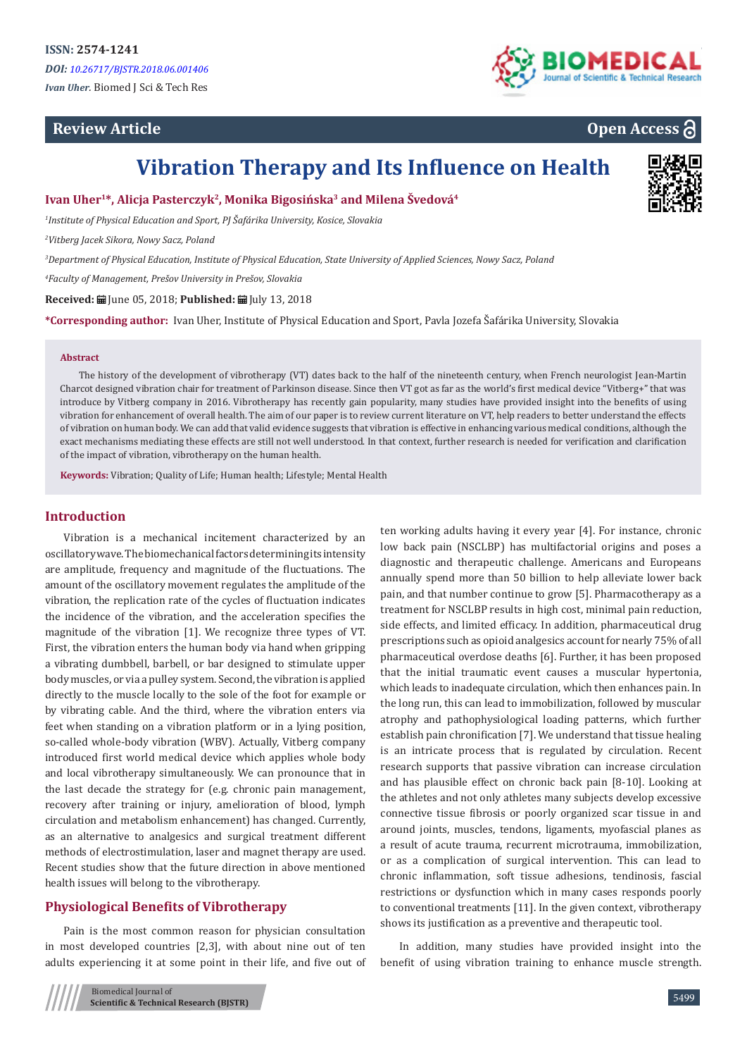## **Review Article**



# **Open Access**

# **Vibration Therapy and Its Influence on Health**

**Ivan Uher1\*, Alicja Pasterczyk2, Monika Bigosińska3 and Milena Švedová4**

*1 Institute of Physical Education and Sport, PJ Šafárika University, Kosice, Slovakia*

*2 Vitberg Jacek Sikora, Nowy Sacz, Poland*

*3 Department of Physical Education, Institute of Physical Education, State University of Applied Sciences, Nowy Sacz, Poland*

*4 Faculty of Management, Prešov University in Prešov, Slovakia*

**Received:** June 05, 2018; **Published:** July 13, 2018

**\*Corresponding author:** Ivan Uher, Institute of Physical Education and Sport, Pavla Jozefa Šafárika University, Slovakia

#### **Abstract**

The history of the development of vibrotherapy (VT) dates back to the half of the nineteenth century, when French neurologist Jean-Martin Charcot designed vibration chair for treatment of Parkinson disease. Since then VT got as far as the world's first medical device "Vitberg+" that was introduce by Vitberg company in 2016. Vibrotherapy has recently gain popularity, many studies have provided insight into the benefits of using vibration for enhancement of overall health. The aim of our paper is to review current literature on VT, help readers to better understand the effects of vibration on human body. We can add that valid evidence suggests that vibration is effective in enhancing various medical conditions, although the exact mechanisms mediating these effects are still not well understood. In that context, further research is needed for verification and clarification of the impact of vibration, vibrotherapy on the human health.

**Keywords:** Vibration; Quality of Life; Human health; Lifestyle; Mental Health

### **Introduction**

Vibration is a mechanical incitement characterized by an oscillatory wave. The biomechanical factors determining its intensity are amplitude, frequency and magnitude of the fluctuations. The amount of the oscillatory movement regulates the amplitude of the vibration, the replication rate of the cycles of fluctuation indicates the incidence of the vibration, and the acceleration specifies the magnitude of the vibration [1]. We recognize three types of VT. First, the vibration enters the human body via hand when gripping a vibrating dumbbell, barbell, or bar designed to stimulate upper body muscles, or via a pulley system. Second, the vibration is applied directly to the muscle locally to the sole of the foot for example or by vibrating cable. And the third, where the vibration enters via feet when standing on a vibration platform or in a lying position, so-called whole-body vibration (WBV). Actually, Vitberg company introduced first world medical device which applies whole body and local vibrotherapy simultaneously. We can pronounce that in the last decade the strategy for (e.g. chronic pain management, recovery after training or injury, amelioration of blood, lymph circulation and metabolism enhancement) has changed. Currently, as an alternative to analgesics and surgical treatment different methods of electrostimulation, laser and magnet therapy are used. Recent studies show that the future direction in above mentioned health issues will belong to the vibrotherapy.

## **Physiological Benefits of Vibrotherapy**

Pain is the most common reason for physician consultation in most developed countries [2,3], with about nine out of ten adults experiencing it at some point in their life, and five out of ten working adults having it every year [4]. For instance, chronic low back pain (NSCLBP) has multifactorial origins and poses a diagnostic and therapeutic challenge. Americans and Europeans annually spend more than 50 billion to help alleviate lower back pain, and that number continue to grow [5]. Pharmacotherapy as a treatment for NSCLBP results in high cost, minimal pain reduction, side effects, and limited efficacy. In addition, pharmaceutical drug prescriptions such as opioid analgesics account for nearly 75% of all pharmaceutical overdose deaths [6]. Further, it has been proposed that the initial traumatic event causes a muscular hypertonia, which leads to inadequate circulation, which then enhances pain. In the long run, this can lead to immobilization, followed by muscular atrophy and pathophysiological loading patterns, which further establish pain chronification [7]. We understand that tissue healing is an intricate process that is regulated by circulation. Recent research supports that passive vibration can increase circulation and has plausible effect on chronic back pain [8-10]. Looking at the athletes and not only athletes many subjects develop excessive connective tissue fibrosis or poorly organized scar tissue in and around joints, muscles, tendons, ligaments, myofascial planes as a result of acute trauma, recurrent microtrauma, immobilization, or as a complication of surgical intervention. This can lead to chronic inflammation, soft tissue adhesions, tendinosis, fascial restrictions or dysfunction which in many cases responds poorly to conventional treatments [11]. In the given context, vibrotherapy shows its justification as a preventive and therapeutic tool.

In addition, many studies have provided insight into the benefit of using vibration training to enhance muscle strength.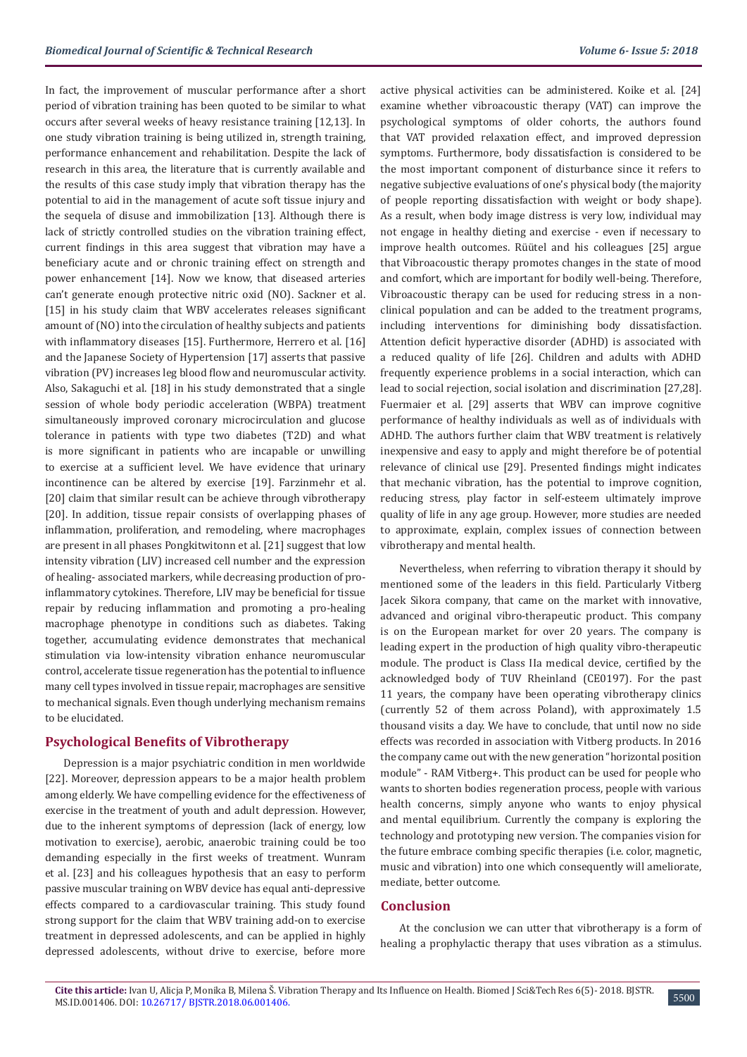In fact, the improvement of muscular performance after a short period of vibration training has been quoted to be similar to what occurs after several weeks of heavy resistance training [12,13]. In one study vibration training is being utilized in, strength training, performance enhancement and rehabilitation. Despite the lack of research in this area, the literature that is currently available and the results of this case study imply that vibration therapy has the potential to aid in the management of acute soft tissue injury and the sequela of disuse and immobilization [13]. Although there is lack of strictly controlled studies on the vibration training effect, current findings in this area suggest that vibration may have a beneficiary acute and or chronic training effect on strength and power enhancement [14]. Now we know, that diseased arteries can't generate enough protective nitric oxid (NO). Sackner et al. [15] in his study claim that WBV accelerates releases significant amount of (NO) into the circulation of healthy subjects and patients with inflammatory diseases [15]. Furthermore, Herrero et al. [16] and the Japanese Society of Hypertension [17] asserts that passive vibration (PV) increases leg blood flow and neuromuscular activity. Also, Sakaguchi et al. [18] in his study demonstrated that a single session of whole body periodic acceleration (WBPA) treatment simultaneously improved coronary microcirculation and glucose tolerance in patients with type two diabetes (T2D) and what is more significant in patients who are incapable or unwilling to exercise at a sufficient level. We have evidence that urinary incontinence can be altered by exercise [19]. Farzinmehr et al. [20] claim that similar result can be achieve through vibrotherapy [20]. In addition, tissue repair consists of overlapping phases of inflammation, proliferation, and remodeling, where macrophages are present in all phases Pongkitwitonn et al. [21] suggest that low intensity vibration (LIV) increased cell number and the expression of healing- associated markers, while decreasing production of proinflammatory cytokines. Therefore, LIV may be beneficial for tissue repair by reducing inflammation and promoting a pro-healing macrophage phenotype in conditions such as diabetes. Taking together, accumulating evidence demonstrates that mechanical stimulation via low-intensity vibration enhance neuromuscular control, accelerate tissue regeneration has the potential to influence many cell types involved in tissue repair, macrophages are sensitive to mechanical signals. Even though underlying mechanism remains to be elucidated.

### **Psychological Benefits of Vibrotherapy**

Depression is a major psychiatric condition in men worldwide [22]. Moreover, depression appears to be a major health problem among elderly. We have compelling evidence for the effectiveness of exercise in the treatment of youth and adult depression. However, due to the inherent symptoms of depression (lack of energy, low motivation to exercise), aerobic, anaerobic training could be too demanding especially in the first weeks of treatment. Wunram et al. [23] and his colleagues hypothesis that an easy to perform passive muscular training on WBV device has equal anti-depressive effects compared to a cardiovascular training. This study found strong support for the claim that WBV training add-on to exercise treatment in depressed adolescents, and can be applied in highly depressed adolescents, without drive to exercise, before more

active physical activities can be administered. Koike et al. [24] examine whether vibroacoustic therapy (VAT) can improve the psychological symptoms of older cohorts, the authors found that VAT provided relaxation effect, and improved depression symptoms. Furthermore, body dissatisfaction is considered to be the most important component of disturbance since it refers to negative subjective evaluations of one's physical body (the majority of people reporting dissatisfaction with weight or body shape). As a result, when body image distress is very low, individual may not engage in healthy dieting and exercise - even if necessary to improve health outcomes. Rüütel and his colleagues [25] argue that Vibroacoustic therapy promotes changes in the state of mood and comfort, which are important for bodily well-being. Therefore, Vibroacoustic therapy can be used for reducing stress in a nonclinical population and can be added to the treatment programs, including interventions for diminishing body dissatisfaction. Attention deficit hyperactive disorder (ADHD) is associated with a reduced quality of life [26]. Children and adults with ADHD frequently experience problems in a social interaction, which can lead to social rejection, social isolation and discrimination [27,28]. Fuermaier et al. [29] asserts that WBV can improve cognitive performance of healthy individuals as well as of individuals with ADHD. The authors further claim that WBV treatment is relatively inexpensive and easy to apply and might therefore be of potential relevance of clinical use [29]. Presented findings might indicates that mechanic vibration, has the potential to improve cognition, reducing stress, play factor in self-esteem ultimately improve quality of life in any age group. However, more studies are needed to approximate, explain, complex issues of connection between vibrotherapy and mental health.

Nevertheless, when referring to vibration therapy it should by mentioned some of the leaders in this field. Particularly Vitberg Jacek Sikora company, that came on the market with innovative, advanced and original vibro-therapeutic product. This company is on the European market for over 20 years. The company is leading expert in the production of high quality vibro-therapeutic module. The product is Class IIa medical device, certified by the acknowledged body of TUV Rheinland (CE0197). For the past 11 years, the company have been operating vibrotherapy clinics (currently 52 of them across Poland), with approximately 1.5 thousand visits a day. We have to conclude, that until now no side effects was recorded in association with Vitberg products. In 2016 the company came out with the new generation "horizontal position module" - RAM Vitberg+. This product can be used for people who wants to shorten bodies regeneration process, people with various health concerns, simply anyone who wants to enjoy physical and mental equilibrium. Currently the company is exploring the technology and prototyping new version. The companies vision for the future embrace combing specific therapies (i.e. color, magnetic, music and vibration) into one which consequently will ameliorate, mediate, better outcome.

### **Conclusion**

At the conclusion we can utter that vibrotherapy is a form of healing a prophylactic therapy that uses vibration as a stimulus.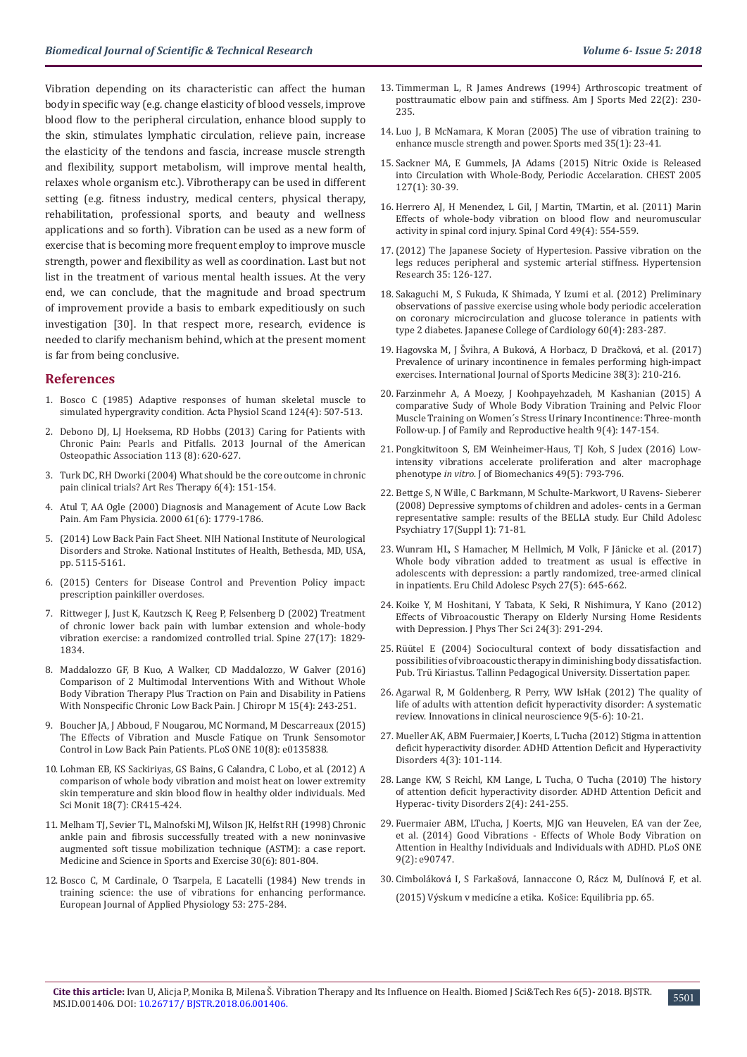Vibration depending on its characteristic can affect the human body in specific way (e.g. change elasticity of blood vessels, improve blood flow to the peripheral circulation, enhance blood supply to the skin, stimulates lymphatic circulation, relieve pain, increase the elasticity of the tendons and fascia, increase muscle strength and flexibility, support metabolism, will improve mental health, relaxes whole organism etc.). Vibrotherapy can be used in different setting (e.g. fitness industry, medical centers, physical therapy, rehabilitation, professional sports, and beauty and wellness applications and so forth). Vibration can be used as a new form of exercise that is becoming more frequent employ to improve muscle strength, power and flexibility as well as coordination. Last but not list in the treatment of various mental health issues. At the very end, we can conclude, that the magnitude and broad spectrum of improvement provide a basis to embark expeditiously on such investigation [30]. In that respect more, research, evidence is needed to clarify mechanism behind, which at the present moment is far from being conclusive.

#### **References**

- 1. [Bosco C \(1985\) Adaptive responses of human skeletal muscle to](https://www.ncbi.nlm.nih.gov/pubmed/4050478)  [simulated hypergravity condition. Acta Physiol Scand 124\(4\): 507-513.](https://www.ncbi.nlm.nih.gov/pubmed/4050478)
- 2. [Debono DJ, LJ Hoeksema, RD Hobbs \(2013\) Caring for Patients with](https://www.ncbi.nlm.nih.gov/pubmed/23918913)  [Chronic Pain: Pearls and Pitfalls. 2013 Journal of the American](https://www.ncbi.nlm.nih.gov/pubmed/23918913)  [Osteopathic Association 113 \(8\): 620-627.](https://www.ncbi.nlm.nih.gov/pubmed/23918913)
- 3. [Turk DC, RH Dworki \(2004\) What should be the core outcome in chronic](https://arthritis-research.biomedcentral.com/articles/10.1186/ar1196)  [pain clinical trials? Art Res Therapy 6\(4\): 151-154.](https://arthritis-research.biomedcentral.com/articles/10.1186/ar1196)
- 4. [Atul T, AA Ogle \(2000\) Diagnosis and Management of Acute Low Back](https://www.aafp.org/afp/2000/0315/p1779.html)  [Pain. Am Fam Physicia. 2000 61\(6\): 1779-1786.](https://www.aafp.org/afp/2000/0315/p1779.html)
- 5. [\(2014\) Low Back Pain Fact Sheet. NIH National Institute of Neurological](https://www.ninds.nih.gov/Disorders/Patient-Caregiver-Education/Fact-Sheets/Low-Back-Pain-Fact-Sheet)  [Disorders and Stroke. National Institutes of Health, Bethesda, MD, USA,](https://www.ninds.nih.gov/Disorders/Patient-Caregiver-Education/Fact-Sheets/Low-Back-Pain-Fact-Sheet)  [pp. 5115-5161.](https://www.ninds.nih.gov/Disorders/Patient-Caregiver-Education/Fact-Sheets/Low-Back-Pain-Fact-Sheet)
- 6. (2015) Centers for Disease Control and Prevention Policy impact: prescription painkiller overdoses.
- 7. [Rittweger J, Just K, Kautzsch K, Reeg P, Felsenberg D \(2002\) Treatment](https://www.ncbi.nlm.nih.gov/pubmed/12221343)  [of chronic lower back pain with lumbar extension and whole-body](https://www.ncbi.nlm.nih.gov/pubmed/12221343)  [vibration exercise: a randomized controlled trial. Spine 27\(17\): 1829-](https://www.ncbi.nlm.nih.gov/pubmed/12221343) [1834.](https://www.ncbi.nlm.nih.gov/pubmed/12221343)
- 8. [Maddalozzo GF, B Kuo, A Walker, CD Maddalozzo, W Galver \(2016\)](https://www.ncbi.nlm.nih.gov/pubmed/27857632)  [Comparison of 2 Multimodal Interventions With and Without Whole](https://www.ncbi.nlm.nih.gov/pubmed/27857632)  [Body Vibration Therapy Plus Traction on Pain and Disability in Patiens](https://www.ncbi.nlm.nih.gov/pubmed/27857632)  [With Nonspecific Chronic Low Back Pain. J Chiropr M 15\(4\): 243-251.](https://www.ncbi.nlm.nih.gov/pubmed/27857632)
- 9. [Boucher JA, J Abboud, F Nougarou, MC Normand, M Descarreaux \(2015\)](https://www.ncbi.nlm.nih.gov/pubmed/26308725)  [The Effects of Vibration and Muscle Fatique on Trunk Sensomotor](https://www.ncbi.nlm.nih.gov/pubmed/26308725)  [Control in Low Back Pain Patients. PLoS ONE 10\(8\): e0135838.](https://www.ncbi.nlm.nih.gov/pubmed/26308725)
- 10. [Lohman EB, KS Sackiriyas, GS Bains, G Calandra, C Lobo, et al. \(2012\) A](https://www.ncbi.nlm.nih.gov/pmc/articles/PMC3560772/)  [comparison of whole body vibration and moist heat on lower extremity](https://www.ncbi.nlm.nih.gov/pmc/articles/PMC3560772/)  [skin temperature and skin blood flow in healthy older individuals. Med](https://www.ncbi.nlm.nih.gov/pmc/articles/PMC3560772/)  [Sci Monit 18\(7\): CR415-424.](https://www.ncbi.nlm.nih.gov/pmc/articles/PMC3560772/)
- 11. [Melham TJ, Sevier TL, Malnofski MJ, Wilson JK, Helfst RH \(1998\) Chronic](https://www.ncbi.nlm.nih.gov/pubmed/9624634)  [ankle pain and fibrosis successfully treated with a new noninvasive](https://www.ncbi.nlm.nih.gov/pubmed/9624634)  [augmented soft tissue mobilization technique \(ASTM\): a case report.](https://www.ncbi.nlm.nih.gov/pubmed/9624634)  [Medicine and Science in Sports and Exercise 30\(6\): 801-804.](https://www.ncbi.nlm.nih.gov/pubmed/9624634)
- 12. [Bosco C, M Cardinale, O Tsarpela, E Lacatelli \(1984\) New trends in](https://www.researchgate.net/publication/237283484_NEW_TRENDS_IN_TRAINING_SCIENCE_THE_USE_OF_VIBRATIONS_FOR_ENHANCING_PERFORMANCE)  [training science: the use of vibrations for enhancing performance.](https://www.researchgate.net/publication/237283484_NEW_TRENDS_IN_TRAINING_SCIENCE_THE_USE_OF_VIBRATIONS_FOR_ENHANCING_PERFORMANCE)  [European Journal of Applied Physiology 53: 275-284.](https://www.researchgate.net/publication/237283484_NEW_TRENDS_IN_TRAINING_SCIENCE_THE_USE_OF_VIBRATIONS_FOR_ENHANCING_PERFORMANCE)
- 13. [Timmerman L, R James Andrews \(1994\) Arthroscopic treatment of](https://www.ncbi.nlm.nih.gov/pubmed/8198192) [posttraumatic elbow pain and stiffness. Am J Sports Med 22\(2\): 230-](https://www.ncbi.nlm.nih.gov/pubmed/8198192) [235.](https://www.ncbi.nlm.nih.gov/pubmed/8198192)
- 14. [Luo J, B McNamara, K Moran \(2005\) The use of vibration training to](https://www.ncbi.nlm.nih.gov/pubmed/15651911) [enhance muscle strength and power. Sports med 35\(1\): 23-41.](https://www.ncbi.nlm.nih.gov/pubmed/15651911)
- 15. [Sackner MA, E Gummels, JA Adams \(2015\) Nitric Oxide is Released](https://www.ncbi.nlm.nih.gov/pubmed/15653959) [into Circulation with Whole-Body, Periodic Accelaration. CHEST 2005](https://www.ncbi.nlm.nih.gov/pubmed/15653959) [127\(1\): 30-39.](https://www.ncbi.nlm.nih.gov/pubmed/15653959)
- 16. [Herrero AJ, H Menendez, L Gil, J Martin, TMartin, et al. \(2011\) Marin](https://www.ncbi.nlm.nih.gov/pubmed/21042329) [Effects of whole-body vibration on blood flow and neuromuscular](https://www.ncbi.nlm.nih.gov/pubmed/21042329) [activity in spinal cord injury. Spinal Cord 49\(4\): 554-559.](https://www.ncbi.nlm.nih.gov/pubmed/21042329)
- 17.[\(2012\) The Japanese Society of Hypertesion. Passive vibration on the](https://www.researchgate.net/profile/Arturo_Figueroa2/publication/232791533_Passive_vibration_on_the_legs_reduces_peripheral_and_systemic_arterial_stiffness/links/02e7e53526ffebf21b000000/Passive-vibration-on-the-legs-reduces-peripheral-and-systemic-arterial-stiffness.pdf) [legs reduces peripheral and systemic arterial stiffness. Hypertension](https://www.researchgate.net/profile/Arturo_Figueroa2/publication/232791533_Passive_vibration_on_the_legs_reduces_peripheral_and_systemic_arterial_stiffness/links/02e7e53526ffebf21b000000/Passive-vibration-on-the-legs-reduces-peripheral-and-systemic-arterial-stiffness.pdf) [Research 35: 126-127.](https://www.researchgate.net/profile/Arturo_Figueroa2/publication/232791533_Passive_vibration_on_the_legs_reduces_peripheral_and_systemic_arterial_stiffness/links/02e7e53526ffebf21b000000/Passive-vibration-on-the-legs-reduces-peripheral-and-systemic-arterial-stiffness.pdf)
- 18. [Sakaguchi M, S Fukuda, K Shimada, Y Izumi et al. \(2012\) Preliminary](https://www.ncbi.nlm.nih.gov/pubmed/22738691) [observations of passive exercise using whole body periodic acceleration](https://www.ncbi.nlm.nih.gov/pubmed/22738691) [on coronary microcirculation and glucose tolerance in patients with](https://www.ncbi.nlm.nih.gov/pubmed/22738691) [type 2 diabetes. Japanese College of Cardiology 60\(4\): 283-287.](https://www.ncbi.nlm.nih.gov/pubmed/22738691)
- 19. [Hagovska M, J Švihra, A Buková, A Horbacz, D Dračková, et al. \(2017\)](https://www.ncbi.nlm.nih.gov/pubmed/28212587) [Prevalence of urinary incontinence in females performing high-impact](https://www.ncbi.nlm.nih.gov/pubmed/28212587) [exercises. International Journal of Sports Medicine 38\(3\): 210-216.](https://www.ncbi.nlm.nih.gov/pubmed/28212587)
- 20. [Farzinmehr A, A Moezy, J Koohpayehzadeh, M Kashanian \(2015\) A](https://www.ncbi.nlm.nih.gov/pubmed/27047560) [comparative Sudy of Whole Body Vibration Training and Pelvic Floor](https://www.ncbi.nlm.nih.gov/pubmed/27047560) [Muscle Training on Women´s Stress Urinary Incontinence: Three-month](https://www.ncbi.nlm.nih.gov/pubmed/27047560) [Follow-up. J of Family and Reproductive health 9\(4\): 147-154.](https://www.ncbi.nlm.nih.gov/pubmed/27047560)
- 21. [Pongkitwitoon S, EM Weinheimer-Haus, TJ Koh, S Judex \(2016\) Low](https://www.ncbi.nlm.nih.gov/pubmed/26897645)[intensity vibrations accelerate proliferation and alter macrophage](https://www.ncbi.nlm.nih.gov/pubmed/26897645) phenotype *in vitro*[. J of Biomechanics 49\(5\): 793-796.](https://www.ncbi.nlm.nih.gov/pubmed/26897645)
- 22. [Bettge S, N Wille, C Barkmann, M Schulte-Markwort, U Ravens- Sieberer](https://www.ncbi.nlm.nih.gov/pubmed/19132306) [\(2008\) Depressive symptoms of children and adoles- cents in a German](https://www.ncbi.nlm.nih.gov/pubmed/19132306) [representative sample: results of the BELLA study. Eur Child Adolesc](https://www.ncbi.nlm.nih.gov/pubmed/19132306) [Psychiatry 17\(Suppl 1\): 71-81.](https://www.ncbi.nlm.nih.gov/pubmed/19132306)
- 23. [Wunram HL, S Hamacher, M Hellmich, M Volk, F Jänicke et al. \(2017\)](https://www.ncbi.nlm.nih.gov/pubmed/29119301) [Whole body vibration added to treatment as usual is effective in](https://www.ncbi.nlm.nih.gov/pubmed/29119301) [adolescents with depression: a partly randomized, tree-armed clinical](https://www.ncbi.nlm.nih.gov/pubmed/29119301) [in inpatients. Eru Child Adolesc Psych 27\(5\): 645-662.](https://www.ncbi.nlm.nih.gov/pubmed/29119301)
- 24. [Koike Y, M Hoshitani, Y Tabata, K Seki, R Nishimura, Y Kano \(2012\)](https://www.jstage.jst.go.jp/article/jpts/24/3/24_291/_article) [Effects of Vibroacoustic Therapy on Elderly Nursing Home Residents](https://www.jstage.jst.go.jp/article/jpts/24/3/24_291/_article) [with Depression. J Phys Ther Sci 24\(3\): 291-294.](https://www.jstage.jst.go.jp/article/jpts/24/3/24_291/_article)
- 25. Rüütel E (2004) Sociocultural context of body dissatisfaction and possibilities of vibroacoustic therapy in diminishing body dissatisfaction. Pub. Trü Kiriastus. Tallinn Pedagogical University. Dissertation paper.
- 26. [Agarwal R, M Goldenberg, R Perry, WW IsHak \(2012\) The quality of](https://www.ncbi.nlm.nih.gov/pubmed/22808445) [life of adults with attention deficit hyperactivity disorder: A systematic](https://www.ncbi.nlm.nih.gov/pubmed/22808445) [review. Innovations in clinical neuroscience 9\(5-6\): 10-21.](https://www.ncbi.nlm.nih.gov/pubmed/22808445)
- 27. [Mueller AK, ABM Fuermaier, J Koerts, L Tucha \(2012\) Stigma in attention](https://www.ncbi.nlm.nih.gov/pmc/articles/PMC3430836/) [deficit hyperactivity disorder. ADHD Attention Deficit and Hyperactivity](https://www.ncbi.nlm.nih.gov/pmc/articles/PMC3430836/) [Disorders 4\(3\): 101-114.](https://www.ncbi.nlm.nih.gov/pmc/articles/PMC3430836/)
- 28. [Lange KW, S Reichl, KM Lange, L Tucha, O Tucha \(2010\) The history](https://www.ncbi.nlm.nih.gov/pmc/articles/PMC3000907/) [of attention deficit hyperactivity disorder. ADHD Attention Deficit and](https://www.ncbi.nlm.nih.gov/pmc/articles/PMC3000907/) [Hyperac- tivity Disorders 2\(4\): 241-255.](https://www.ncbi.nlm.nih.gov/pmc/articles/PMC3000907/)
- 29. [Fuermaier ABM, LTucha, J Koerts, MJG van Heuvelen, EA van der Zee,](http://journals.plos.org/plosone/article?id=10.1371/journal.pone.0090747) [et al. \(2014\) Good Vibrations - Effects of Whole Body Vibration on](http://journals.plos.org/plosone/article?id=10.1371/journal.pone.0090747) [Attention in Healthy Individuals and Individuals with ADHD. PLoS ONE](http://journals.plos.org/plosone/article?id=10.1371/journal.pone.0090747) [9\(2\): e90747.](http://journals.plos.org/plosone/article?id=10.1371/journal.pone.0090747)
- 30. Cimboláková I, S Farkašová, Iannaccone O, Rácz M, Dulínová F, et al. (2015) Výskum v medicíne a etika. Košice: Equilibria pp. 65.